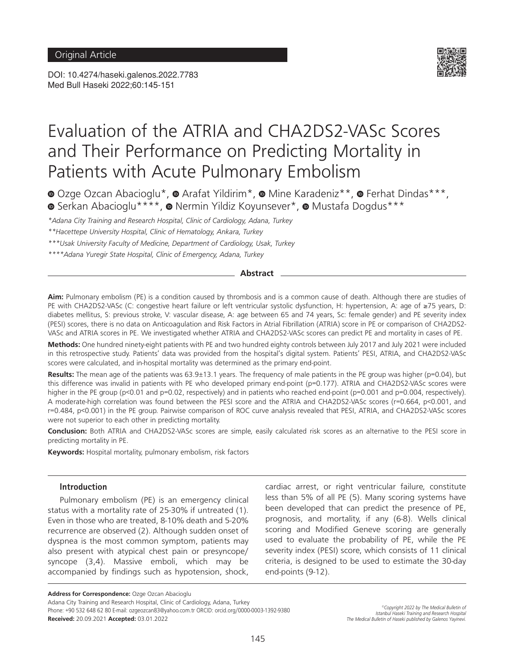DOI: 10.4274/haseki.galenos.2022.7783 Med Bull Haseki 2022;60:145-151



# Evaluation of the ATRIA and CHA2DS2-VASc Scores and Their Performance on Predicting Mortality in Patients with Acute Pulmonary Embolism

**·**Ozge Ozcan Abacioglu\*,  $\bullet$  Arafat Yildirim\*,  $\bullet$  Mine Karadeniz\*\*,  $\bullet$  Ferhat Dindas\*\*\*, **■**Serkan Abacioglu\*\*\*\*, ■ Nermin Yildiz Koyunsever\*, ■ Mustafa Dogdus\*\*\*

*\*Adana City Training and Research Hospital, Clinic of Cardiology, Adana, Turkey*

*\*\*Hacettepe University Hospital, Clinic of Hematology, Ankara, Turkey*

*\*\*\*Usak University Faculty of Medicine, Department of Cardiology, Usak, Turkey*

*\*\*\*\*Adana Yuregir State Hospital, Clinic of Emergency, Adana, Turkey*

#### **Abstract**

**Aim:** Pulmonary embolism (PE) is a condition caused by thrombosis and is a common cause of death. Although there are studies of PE with CHA2DS2-VASc (C: congestive heart failure or left ventricular systolic dysfunction, H: hypertension, A: age of ≥75 years, D: diabetes mellitus, S: previous stroke, V: vascular disease, A: age between 65 and 74 years, Sc: female gender) and PE severity index (PESI) scores, there is no data on Anticoagulation and Risk Factors in Atrial Fibrillation (ATRIA) score in PE or comparison of CHA2DS2- VASc and ATRIA scores in PE. We investigated whether ATRIA and CHA2DS2-VASc scores can predict PE and mortality in cases of PE.

**Methods:** One hundred ninety-eight patients with PE and two hundred eighty controls between July 2017 and July 2021 were included in this retrospective study. Patients' data was provided from the hospital's digital system. Patients' PESI, ATRIA, and CHA2DS2-VASc scores were calculated, and in-hospital mortality was determined as the primary end-point.

**Results:** The mean age of the patients was 63.9±13.1 years. The frequency of male patients in the PE group was higher (p=0.04), but this difference was invalid in patients with PE who developed primary end-point (p=0.177). ATRIA and CHA2DS2-VASc scores were higher in the PE group (p<0.01 and p=0.02, respectively) and in patients who reached end-point (p=0.001 and p=0.004, respectively). A moderate-high correlation was found between the PESI score and the ATRIA and CHA2DS2-VASc scores (r=0.664, p<0.001, and r=0.484, p<0.001) in the PE group. Pairwise comparison of ROC curve analysis revealed that PESI, ATRIA, and CHA2DS2-VASc scores were not superior to each other in predicting mortality.

**Conclusion:** Both ATRIA and CHA2DS2-VASc scores are simple, easily calculated risk scores as an alternative to the PESI score in predicting mortality in PE.

**Keywords:** Hospital mortality, pulmonary embolism, risk factors

### **Introduction**

Pulmonary embolism (PE) is an emergency clinical status with a mortality rate of 25-30% if untreated (1). Even in those who are treated, 8-10% death and 5-20% recurrence are observed (2). Although sudden onset of dyspnea is the most common symptom, patients may also present with atypical chest pain or presyncope/ syncope (3,4). Massive emboli, which may be accompanied by findings such as hypotension, shock,

cardiac arrest, or right ventricular failure, constitute less than 5% of all PE (5). Many scoring systems have been developed that can predict the presence of PE, prognosis, and mortality, if any (6-8). Wells clinical scoring and Modified Geneve scoring are generally used to evaluate the probability of PE, while the PE severity index (PESI) score, which consists of 11 clinical criteria, is designed to be used to estimate the 30-day end-points (9-12).

**Address for Correspondence: Ozge Ozcan Abacioglu** 

Adana City Training and Research Hospital, Clinic of Cardiology, Adana, Turkey Phone: +90 532 648 62 80 E-mail: ozgeozcan83@yahoo.com.tr ORCID: orcid.org/0000-0003-1392-9380 **Received:** 20.09.2021 **Accepted:** 03.01.2022

*©Copyright 2022 by The Medical Bulletin of Istanbul Haseki Training and Research Hospital The Medical Bulletin of Haseki published by Galenos Yayinevi.*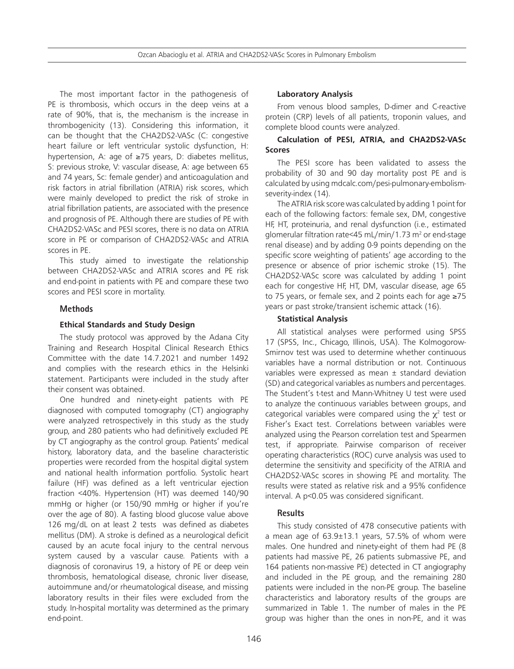Ozcan Abacioglu et al. ATRIA and CHA2DS2-VASc Scores in Pulmonary Embolism

The most important factor in the pathogenesis of PE is thrombosis, which occurs in the deep veins at a rate of 90%, that is, the mechanism is the increase in thrombogenicity (13). Considering this information, it can be thought that the CHA2DS2-VASc (C: congestive heart failure or left ventricular systolic dysfunction, H: hypertension, A: age of ≥75 years, D: diabetes mellitus, S: previous stroke, V: vascular disease, A: age between 65 and 74 years, Sc: female gender) and anticoagulation and risk factors in atrial fibrillation (ATRIA) risk scores, which were mainly developed to predict the risk of stroke in atrial fibrillation patients, are associated with the presence and prognosis of PE. Although there are studies of PE with CHA2DS2-VASc and PESI scores, there is no data on ATRIA score in PE or comparison of CHA2DS2-VASc and ATRIA scores in PE.

This study aimed to investigate the relationship between CHA2DS2-VASc and ATRIA scores and PE risk and end-point in patients with PE and compare these two scores and PESI score in mortality.

# **Methods**

# **Ethical Standards and Study Design**

The study protocol was approved by the Adana City Training and Research Hospital Clinical Research Ethics Committee with the date 14.7.2021 and number 1492 and complies with the research ethics in the Helsinki statement. Participants were included in the study after their consent was obtained.

One hundred and ninety-eight patients with PE diagnosed with computed tomography (CT) angiography were analyzed retrospectively in this study as the study group, and 280 patients who had definitively excluded PE by CT angiography as the control group. Patients' medical history, laboratory data, and the baseline characteristic properties were recorded from the hospital digital system and national health information portfolio. Systolic heart failure (HF) was defined as a left ventricular ejection fraction <40%. Hypertension (HT) was deemed 140/90 mmHg or higher (or 150/90 mmHg or higher if you're over the age of 80). A fasting blood glucose value above 126 mg/dL on at least 2 tests was defined as diabetes mellitus (DM). A stroke is defined as a neurological deficit caused by an acute focal injury to the central nervous system caused by a vascular cause. Patients with a diagnosis of coronavirus 19, a history of PE or deep vein thrombosis, hematological disease, chronic liver disease, autoimmune and/or rheumatological disease, and missing laboratory results in their files were excluded from the study. In-hospital mortality was determined as the primary end-point.

# **Laboratory Analysis**

From venous blood samples, D-dimer and C-reactive protein (CRP) levels of all patients, troponin values, and complete blood counts were analyzed.

## **Calculation of PESI, ATRIA, and CHA2DS2-VASc Scores**

The PESI score has been validated to assess the probability of 30 and 90 day mortality post PE and is calculated by using mdcalc.com/pesi-pulmonary-embolismseverity-index (14).

The ATRIA risk score was calculated by adding 1 point for each of the following factors: female sex, DM, congestive HF, HT, proteinuria, and renal dysfunction (i.e., estimated glomerular filtration rate<45 mL/min/1.73  $m<sup>2</sup>$  or end-stage renal disease) and by adding 0-9 points depending on the specific score weighting of patients' age according to the presence or absence of prior ischemic stroke (15). The CHA2DS2-VASc score was calculated by adding 1 point each for congestive HF, HT, DM, vascular disease, age 65 to 75 years, or female sex, and 2 points each for age ≥75 years or past stroke/transient ischemic attack (16).

# **Statistical Analysis**

All statistical analyses were performed using SPSS 17 (SPSS, Inc., Chicago, Illinois, USA). The Kolmogorow-Smirnov test was used to determine whether continuous variables have a normal distribution or not. Continuous variables were expressed as mean ± standard deviation (SD) and categorical variables as numbers and percentages. The Student's t-test and Mann-Whitney U test were used to analyze the continuous variables between groups, and categorical variables were compared using the  $\chi^2$  test or Fisher's Exact test. Correlations between variables were analyzed using the Pearson correlation test and Spearmen test, if appropriate. Pairwise comparison of receiver operating characteristics (ROC) curve analysis was used to determine the sensitivity and specificity of the ATRIA and CHA2DS2-VASc scores in showing PE and mortality. The results were stated as relative risk and a 95% confidence interval. A p<0.05 was considered significant.

# **Results**

This study consisted of 478 consecutive patients with a mean age of 63.9±13.1 years, 57.5% of whom were males. One hundred and ninety-eight of them had PE (8 patients had massive PE, 26 patients submassive PE, and 164 patients non-massive PE) detected in CT angiography and included in the PE group, and the remaining 280 patients were included in the non-PE group. The baseline characteristics and laboratory results of the groups are summarized in Table 1. The number of males in the PE group was higher than the ones in non-PE, and it was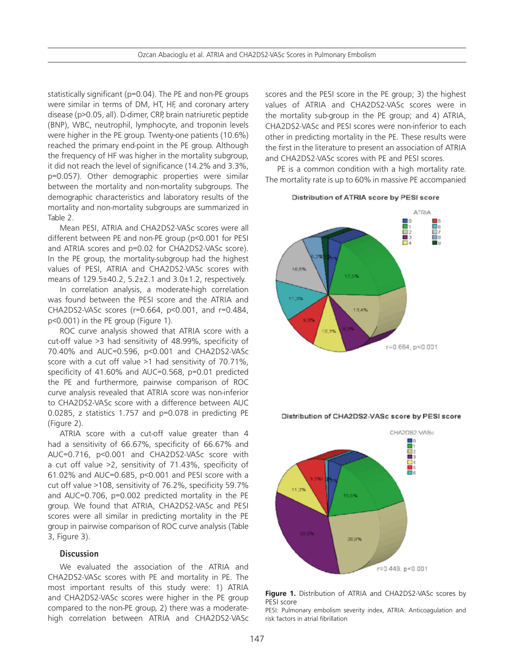statistically significant (p=0.04). The PE and non-PE groups were similar in terms of DM, HT, HF, and coronary artery disease (p>0.05, all). D-dimer, CRP, brain natriuretic peptide (BNP), WBC, neutrophil, lymphocyte, and troponin levels were higher in the PE group. Twenty-one patients (10.6%) reached the primary end-point in the PE group. Although the frequency of HF was higher in the mortality subgroup, it did not reach the level of significance (14.2% and 3.3%, p=0.057). Other demographic properties were similar between the mortality and non-mortality subgroups. The demographic characteristics and laboratory results of the mortality and non-mortality subgroups are summarized in Table 2.

Mean PESI, ATRIA and CHA2DS2-VASc scores were all different between PE and non-PE group (p<0.001 for PESI and ATRIA scores and p=0.02 for CHA2DS2-VASc score). In the PE group, the mortality-subgroup had the highest values of PESI, ATRIA and CHA2DS2-VASc scores with means of 129.5±40.2, 5.2±2.1 and 3.0±1.2, respectively.

In correlation analysis, a moderate-high correlation was found between the PESI score and the ATRIA and CHA2DS2-VASc scores (r=0.664, p<0.001, and r=0.484, p<0.001) in the PE group (Figure 1).

ROC curve analysis showed that ATRIA score with a cut-off value >3 had sensitivity of 48.99%, specificity of 70.40% and AUC=0.596, p<0.001 and CHA2DS2-VASc score with a cut off value >1 had sensitivity of 70.71%, specificity of 41.60% and AUC=0.568, p=0.01 predicted the PE and furthermore, pairwise comparison of ROC curve analysis revealed that ATRIA score was non-inferior to CHA2DS2-VASc score with a difference between AUC 0.0285, z statistics 1.757 and p=0.078 in predicting PE (Figure 2).

ATRIA score with a cut-off value greater than 4 had a sensitivity of 66.67%, specificity of 66.67% and AUC=0.716, p<0.001 and CHA2DS2-VASc score with a cut off value >2, sensitivity of 71.43%, specificity of 61.02% and AUC=0.685, p<0.001 and PESI score with a cut off value >108, sensitivity of 76.2%, specificity 59.7% and AUC=0.706, p=0.002 predicted mortality in the PE group. We found that ATRIA, CHA2DS2-VASc and PESI scores were all similar in predicting mortality in the PE group in pairwise comparison of ROC curve analysis (Table 3, Figure 3).

### **Discussion**

We evaluated the association of the ATRIA and CHA2DS2-VASc scores with PE and mortality in PE. The most important results of this study were: 1) ATRIA and CHA2DS2-VASc scores were higher in the PE group compared to the non-PE group, 2) there was a moderatehigh correlation between ATRIA and CHA2DS2-VASc scores and the PESI score in the PE group; 3) the highest values of ATRIA and CHA2DS2-VASc scores were in the mortality sub-group in the PE group; and 4) ATRIA, CHA2DS2-VASc and PESI scores were non-inferior to each other in predicting mortality in the PE. These results were the first in the literature to present an association of ATRIA and CHA2DS2-VASc scores with PE and PESI scores.

PE is a common condition with a high mortality rate. The mortality rate is up to 60% in massive PE accompanied

#### Distribution of ATRIA score by PESI score



Distribution of CHA2DS2-VASc score by PESI score



**Figure 1.** Distribution of ATRIA and CHA2DS2-VASc scores by PESI score

PESI: Pulmonary embolism severity index, ATRIA: Anticoagulation and risk factors in atrial fibrillation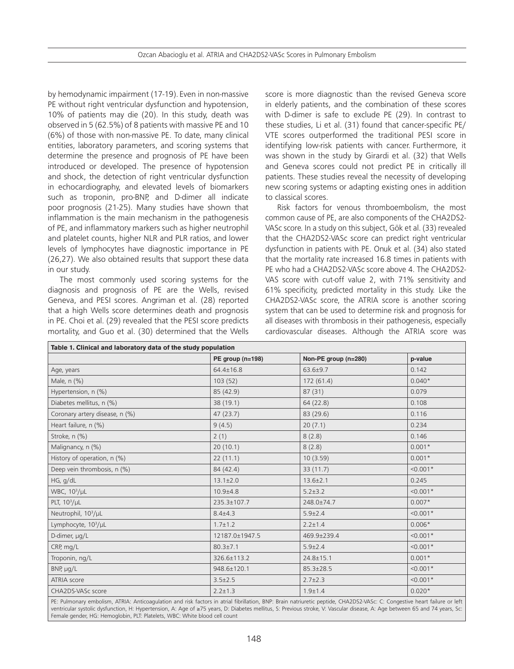by hemodynamic impairment (17-19). Even in non-massive PE without right ventricular dysfunction and hypotension, 10% of patients may die (20). In this study, death was observed in 5 (62.5%) of 8 patients with massive PE and 10 (6%) of those with non-massive PE. To date, many clinical entities, laboratory parameters, and scoring systems that determine the presence and prognosis of PE have been introduced or developed. The presence of hypotension and shock, the detection of right ventricular dysfunction in echocardiography, and elevated levels of biomarkers such as troponin, pro-BNP, and D-dimer all indicate poor prognosis (21-25). Many studies have shown that inflammation is the main mechanism in the pathogenesis of PE, and inflammatory markers such as higher neutrophil and platelet counts, higher NLR and PLR ratios, and lower levels of lymphocytes have diagnostic importance in PE (26,27). We also obtained results that support these data in our study.

The most commonly used scoring systems for the diagnosis and prognosis of PE are the Wells, revised Geneva, and PESI scores. Angriman et al. (28) reported that a high Wells score determines death and prognosis in PE. Choi et al. (29) revealed that the PESI score predicts mortality, and Guo et al. (30) determined that the Wells score is more diagnostic than the revised Geneva score in elderly patients, and the combination of these scores with D-dimer is safe to exclude PE (29). In contrast to these studies, Li et al. (31) found that cancer-specific PE/ VTE scores outperformed the traditional PESI score in identifying low-risk patients with cancer. Furthermore, it was shown in the study by Girardi et al. (32) that Wells and Geneva scores could not predict PE in critically ill patients. These studies reveal the necessity of developing new scoring systems or adapting existing ones in addition to classical scores.

Risk factors for venous thromboembolism, the most common cause of PE, are also components of the CHA2DS2- VASc score. In a study on this subject, Gök et al. (33) revealed that the CHA2DS2-VASc score can predict right ventricular dysfunction in patients with PE. Onuk et al. (34) also stated that the mortality rate increased 16.8 times in patients with PE who had a CHA2DS2-VASc score above 4. The CHA2DS2- VAS score with cut-off value 2, with 71% sensitivity and 61% specificity, predicted mortality in this study. Like the CHA2DS2-VASc score, the ATRIA score is another scoring system that can be used to determine risk and prognosis for all diseases with thrombosis in their pathogenesis, especially cardiovascular diseases. Although the ATRIA score was

| Table 1. Clinical and laboratory data of the study population |                  |                      |            |  |  |
|---------------------------------------------------------------|------------------|----------------------|------------|--|--|
|                                                               | PE group (n=198) | Non-PE group (n=280) | p-value    |  |  |
| Age, years                                                    | $64.4 \pm 16.8$  | $63.6 \pm 9.7$       | 0.142      |  |  |
| Male, n (%)                                                   | 103(52)          | 172(61.4)            | $0.040*$   |  |  |
| Hypertension, n (%)                                           | 85 (42.9)        | 87(31)               | 0.079      |  |  |
| Diabetes mellitus, n (%)                                      | 38 (19.1)        | 64(22.8)             | 0.108      |  |  |
| Coronary artery disease, n (%)                                | 47(23.7)         | 83 (29.6)            | 0.116      |  |  |
| Heart failure, n (%)                                          | 9(4.5)           | 20(7.1)              | 0.234      |  |  |
| Stroke, n (%)                                                 | 2(1)             | 8(2.8)               | 0.146      |  |  |
| Malignancy, n (%)                                             | 20(10.1)         | 8(2.8)               | $0.001*$   |  |  |
| History of operation, n (%)                                   | 22(11.1)         | 10(3.59)             | $0.001*$   |  |  |
| Deep vein thrombosis, n (%)                                   | 84 (42.4)        | 33 (11.7)            | $< 0.001*$ |  |  |
| HG, g/dL                                                      | $13.1 \pm 2.0$   | $13.6 \pm 2.1$       | 0.245      |  |  |
| WBC, $10^3/\mu L$                                             | $10.9 + 4.8$     | $5.2 \pm 3.2$        | $< 0.001*$ |  |  |
| PLT, $10^3/\mu$ L                                             | 235.3±107.7      | 248.0±74.7           | $0.007*$   |  |  |
| Neutrophil, 10 <sup>3</sup> /µL                               | $8.4 + 4.3$      | $5.9 \pm 2.4$        | $< 0.001*$ |  |  |
| Lymphocyte, 10 <sup>3</sup> /µL                               | $1.7 \pm 1.2$    | $2.2 \pm 1.4$        | $0.006*$   |  |  |
| D-dimer, µg/L                                                 | 12187.0±1947.5   | 469.9±239.4          | $< 0.001*$ |  |  |
| CRP, mg/L                                                     | $80.3 \pm 7.1$   | $5.9 \pm 2.4$        | $< 0.001*$ |  |  |
| Troponin, ng/L                                                | 326.6±113.2      | $24.8 \pm 15.1$      | $0.001*$   |  |  |
| BNP, µg/L                                                     | 948.6±120.1      | $85.3 \pm 28.5$      | $< 0.001*$ |  |  |
| ATRIA score                                                   | $3.5 \pm 2.5$    | $2.7 \pm 2.3$        | $< 0.001*$ |  |  |
| CHA2DS-VASc score                                             | $2.2 \pm 1.3$    | $1.9 \pm 1.4$        | $0.020*$   |  |  |

PE: Pulmonary embolism, ATRIA: Anticoagulation and risk factors in atrial fibrillation, BNP: Brain natriuretic peptide, CHA2DS2-VASc: C: Congestive heart failure or left ventricular systolic dysfunction, H: Hypertension, A: Age of ≥75 years, D: Diabetes mellitus, S: Previous stroke, V: Vascular disease, A: Age between 65 and 74 years, Sc: Female gender, HG: Hemoglobin, PLT: Platelets, WBC: White blood cell count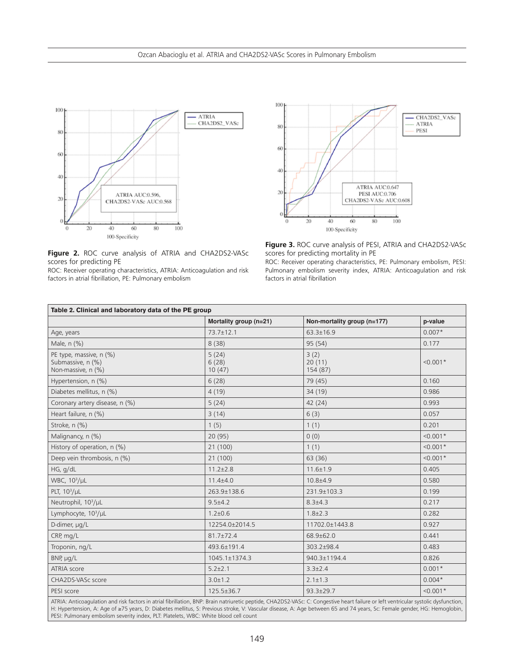



**Figure 2.** ROC curve analysis of ATRIA and CHA2DS2-VASc scores for predicting PE

ROC: Receiver operating characteristics, ATRIA: Anticoagulation and risk factors in atrial fibrillation, PE: Pulmonary embolism



ROC: Receiver operating characteristics, PE: Pulmonary embolism, PESI: Pulmonary embolism severity index, ATRIA: Anticoagulation and risk factors in atrial fibrillation

| Table 2. Clinical and laboratory data of the PE group              |                          |                             |            |  |  |  |  |
|--------------------------------------------------------------------|--------------------------|-----------------------------|------------|--|--|--|--|
|                                                                    | Mortality group (n=21)   | Non-mortality group (n=177) | p-value    |  |  |  |  |
| Age, years                                                         | $73.7 \pm 12.1$          | $63.3 \pm 16.9$             | $0.007*$   |  |  |  |  |
| Male, n (%)                                                        | 8(38)                    | 95(54)                      | 0.177      |  |  |  |  |
| PE type, massive, n (%)<br>Submassive, n (%)<br>Non-massive, n (%) | 5(24)<br>6(28)<br>10(47) | 3(2)<br>20(11)<br>154 (87)  | $< 0.001*$ |  |  |  |  |
| Hypertension, n (%)                                                | 6(28)                    | 79 (45)                     | 0.160      |  |  |  |  |
| Diabetes mellitus, n (%)                                           | 4(19)                    | 34 (19)                     | 0.986      |  |  |  |  |
| Coronary artery disease, n (%)                                     | 5(24)                    | 42 (24)                     | 0.993      |  |  |  |  |
| Heart failure, n (%)                                               | 3(14)                    | 6(3)                        | 0.057      |  |  |  |  |
| Stroke, n (%)                                                      | 1(5)                     | 1(1)                        | 0.201      |  |  |  |  |
| Malignancy, n (%)                                                  | 20(95)                   | 0(0)                        | $< 0.001*$ |  |  |  |  |
| History of operation, $n$ (%)                                      | 21(100)                  | 1(1)                        | $< 0.001*$ |  |  |  |  |
| Deep vein thrombosis, n (%)                                        | 21(100)                  | 63 (36)                     | $< 0.001*$ |  |  |  |  |
| HG, g/dL                                                           | $11.2 \pm 2.8$           | $11.6 \pm 1.9$              | 0.405      |  |  |  |  |
| WBC, 10 <sup>3</sup> /µL                                           | $11.4 + 4.0$             | $10.8 + 4.9$                | 0.580      |  |  |  |  |
| PLT, $10^3/\mu L$                                                  | 263.9±138.6              | 231.9±103.3                 | 0.199      |  |  |  |  |
| Neutrophil, 10 <sup>3</sup> /µL                                    | $9.5 + 4.2$              | $8.3{\pm}4.3$               | 0.217      |  |  |  |  |
| Lymphocyte, 10 <sup>3</sup> /µL                                    | $1.2 \pm 0.6$            | $1.8 \pm 2.3$               | 0.282      |  |  |  |  |
| D-dimer, µg/L                                                      | 12254.0±2014.5           | 11702.0±1443.8              | 0.927      |  |  |  |  |
| CRP, mg/L                                                          | $81.7 \pm 72.4$          | 68.9±62.0                   | 0.441      |  |  |  |  |
| Troponin, ng/L                                                     | 493.6±191.4              | 303.2±98.4                  | 0.483      |  |  |  |  |
| BNP, µg/L                                                          | 1045.1±1374.3            | 940.3±1194.4                | 0.826      |  |  |  |  |
| ATRIA score                                                        | $5.2 \pm 2.1$            | $3.3 \pm 2.4$               | $0.001*$   |  |  |  |  |
| CHA2DS-VASc score                                                  | $3.0 \pm 1.2$            | $2.1 \pm 1.3$               | $0.004*$   |  |  |  |  |
| PESI score                                                         | $125.5 \pm 36.7$         | $93.3 \pm 29.7$             | $< 0.001*$ |  |  |  |  |

ATRIA: Anticoagulation and risk factors in atrial fibrillation, BNP: Brain natriuretic peptide, CHA2DS2-VASc: C: Congestive heart failure or left ventricular systolic dysfunction, H: Hypertension, A: Age of ≥75 years, D: Diabetes mellitus, S: Previous stroke, V: Vascular disease, A: Age between 65 and 74 years, Sc: Female gender, HG: Hemoglobin, PESI: Pulmonary embolism severity index, PLT: Platelets, WBC: White blood cell count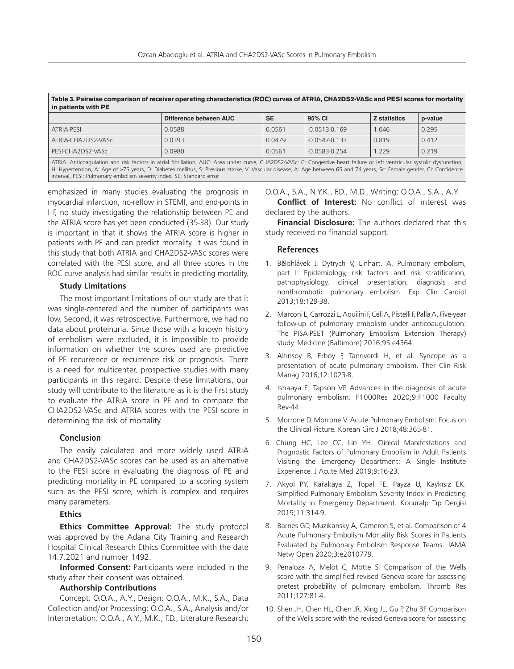| Table 3. Pairwise comparison of receiver operating characteristics (ROC) curves of ATRIA, CHA2DS2-VASc and PESI scores for mortality<br>in patients with PE                |                        |           |                   |                     |         |  |  |
|----------------------------------------------------------------------------------------------------------------------------------------------------------------------------|------------------------|-----------|-------------------|---------------------|---------|--|--|
|                                                                                                                                                                            | Difference between AUC | <b>SE</b> | 95% CI            | <b>Z</b> statistics | p-value |  |  |
| ATRIA-PESI                                                                                                                                                                 | 0.0588                 | 0.0561    | $-0.0513 - 0.169$ | 1.046               | 0.295   |  |  |
| ATRIA-CHA2DS2-VASc                                                                                                                                                         | 0.0393                 | 0.0479    | $-0.0547 - 0.133$ | 0.819               | 0.412   |  |  |
| PESI-CHA2DS2-VASc                                                                                                                                                          | 0.0980                 | 0.0561    | $-0.0583 - 0.254$ | 1.229               | 0.219   |  |  |
| ATRIA: Anticoagulation and risk factors in atrial fibrillation, AUC: Area under curve, CHA2DS2-VASc: C: Congestive heart failure or left ventricular systolic dysfunction, |                        |           |                   |                     |         |  |  |

H: Hypertension, A: Age of ≥75 years, D: Diabetes mellitus, S: Previous stroke, V: Vascular disease, A: Age between 65 and 74 years, Sc: Female gender, CI: Confidence interval, PESI: Pulmonary embolism severity index, SE: Standard error

emphasized in many studies evaluating the prognosis in myocardial infarction, no-reflow in STEMI, and end-points in HF, no study investigating the relationship between PE and the ATRIA score has yet been conducted (35-38). Our study is important in that it shows the ATRIA score is higher in patients with PE and can predict mortality. It was found in this study that both ATRIA and CHA2DS2-VASc scores were correlated with the PESI score, and all three scores in the ROC curve analysis had similar results in predicting mortality.

#### **Study Limitations**

The most important limitations of our study are that it was single-centered and the number of participants was low. Second, it was retrospective. Furthermore, we had no data about proteinuria. Since those with a known history of embolism were excluded, it is impossible to provide information on whether the scores used are predictive of PE recurrence or recurrence risk or prognosis. There is a need for multicenter, prospective studies with many participants in this regard. Despite these limitations, our study will contribute to the literature as it is the first study to evaluate the ATRIA score in PE and to compare the CHA2DS2-VASc and ATRIA scores with the PESI score in determining the risk of mortality.

#### **Conclusion**

The easily calculated and more widely used ATRIA and CHA2DS2-VASc scores can be used as an alternative to the PESI score in evaluating the diagnosis of PE and predicting mortality in PE compared to a scoring system such as the PESI score, which is complex and requires many parameters.

## **Ethics**

**Ethics Committee Approval:** The study protocol was approved by the Adana City Training and Research Hospital Clinical Research Ethics Committee with the date 14.7.2021 and number 1492.

**Informed Consent:** Participants were included in the study after their consent was obtained.

#### **Authorship Contributions**

Concept: O.O.A., A.Y., Design: O.O.A., M.K., S.A., Data Collection and/or Processing: O.O.A., S.A., Analysis and/or Interpretation: O.O.A., A.Y., M.K., F.D., Literature Research:

O.O.A., S.A., N.Y.K., F.D., M.D., Writing: O.O.A., S.A., A.Y. **Conflict of Interest:** No conflict of interest was declared by the authors.

**Financial Disclosure:** The authors declared that this study received no financial support.

#### **References**

- 1. Bĕlohlávek J, Dytrych V, Linhart. A. Pulmonary embolism, part I: Epidemiology, risk factors and risk stratification, pathophysiology, clinical presentation, diagnosis and nonthrombotic pulmonary embolism. Exp Clin Cardiol 2013;18:129-38.
- 2. Marconi L, Carrozzi L, Aquilini F, Celi A, Pistelli F, Palla A. Five-year follow-up of pulmonary embolism under anticoaugulation: The PISA-PEET (Pulmonary Embolism Extension Therapy) study. Medicine (Baltimore) 2016;95:e4364.
- 3. Altınsoy B, Erboy F, Tanrıverdi H, et al. Syncope as a presentation of acute pulmonary embolism. Ther Clin Risk Manag 2016;12:1023-8.
- 4. Ishaaya E, Tapson VF. Advances in the diagnosis of acute pulmonary embolism. F1000Res 2020;9:F1000 Faculty Rev-44.
- 5. Morrone D, Morrone V. Acute Pulmonary Embolism: Focus on the Clinical Picture. Korean Circ J 2018;48:365-81.
- 6. Chung HC, Lee CC, Lin YH. Clinical Manifestations and Prognostic Factors of Pulmonary Embolism in Adult Patients Visiting the Emergency Department: A Single Institute Experience. J Acute Med 2019;9:16-23.
- 7. Akyol PY, Karakaya Z, Topal FE, Payza U, Kaykısız EK. Simplified Pulmonary Embolism Severity Index in Predicting Mortality in Emergency Department. Konuralp Tıp Dergisi 2019;11:314-9.
- 8. Barnes GD, Muzikansky A, Cameron S, et al. Comparison of 4 Acute Pulmonary Embolism Mortality Risk Scores in Patients Evaluated by Pulmonary Embolism Response Teams. JAMA Netw Open 2020;3:e2010779.
- 9. Penaloza A, Melot C, Motte S. Comparison of the Wells score with the simplified revised Geneva score for assessing pretest probability of pulmonary embolism. Thromb Res 2011;127:81-4.
- 10. Shen JH, Chen HL, Chen JR, Xing JL, Gu P, Zhu BF. Comparison of the Wells score with the revised Geneva score for assessing